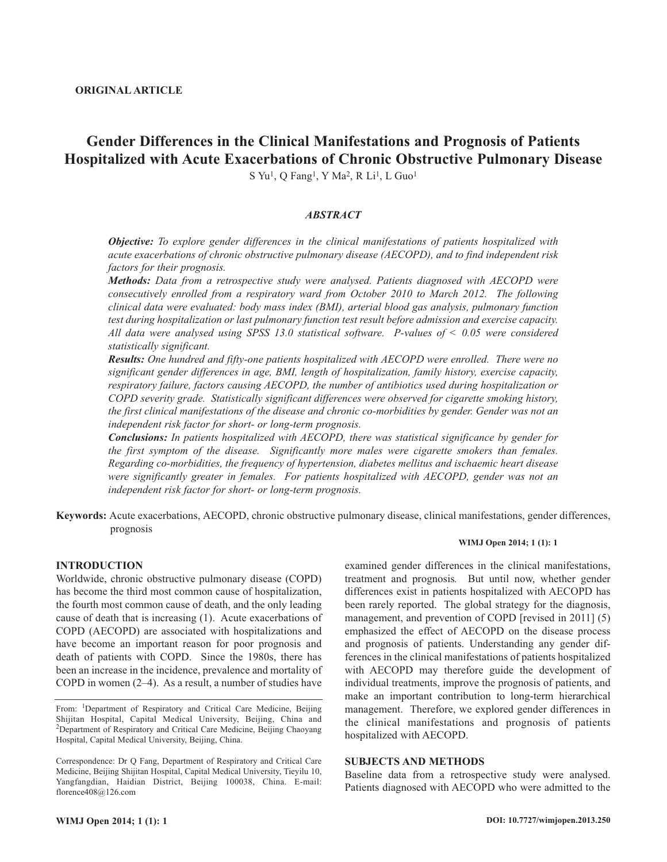# **Gender Differences in the Clinical Manifestations and Prognosis of Patients Hospitalized with Acute Exacerbations of Chronic Obstructive Pulmonary Disease**

S Yu<sup>1</sup>, Q Fang<sup>1</sup>, Y Ma<sup>2</sup>, R Li<sup>1</sup>, L Guo<sup>1</sup>

# *ABSTRACT*

*Objective: To explore gender differences in the clinical manifestations of patients hospitalized with acute exacerbations of chronic obstructive pulmonary disease (AECOPD), and to find independent risk factors for their prognosis.*

*Methods: Data from a retrospective study were analysed. Patients diagnosed with AECOPD were consecutively enrolled from a respiratory ward from October 2010 to March 2012. The following clinical data were evaluated: body mass index (BMI), arterial blood gas analysis, pulmonary function test during hospitalization or last pulmonary function test result before admission and exercise capacity. All data were analysed using SPSS 13.0 statistical software. P-values of < 0.05 were considered statistically significant.*

*Results: One hundred and fifty-one patients hospitalized with AECOPD were enrolled. There were no significant gender differences in age, BMI, length of hospitalization, family history, exercise capacity, respiratory failure, factors causing AECOPD, the number of antibiotics used during hospitalization or COPD severity grade. Statistically significant differences were observed for cigarette smoking history, the first clinical manifestations of the disease and chronic co-morbidities by gender. Gender was not an independent risk factor for short- or long-term prognosis.*

*Conclusions: In patients hospitalized with AECOPD, there was statistical significance by gender for the first symptom of the disease. Significantly more males were cigarette smokers than females. Regarding co-morbidities, the frequency of hypertension, diabetes mellitus and ischaemic heart disease were significantly greater in females. For patients hospitalized with AECOPD, gender was not an independent risk factor for short- or long-term prognosis.*

**Keywords:** Acute exacerbations, AECOPD, chronic obstructive pulmonary disease, clinical manifestations, gender differences, prognosis

#### **INTRODUCTION**

Worldwide, chronic obstructive pulmonary disease (COPD) has become the third most common cause of hospitalization, the fourth most common cause of death, and the only leading cause of death that is increasing (1). Acute exacerbations of COPD (AECOPD) are associated with hospitalizations and have become an important reason for poor prognosis and death of patients with COPD. Since the 1980s, there has been an increase in the incidence, prevalence and mortality of COPD in women (2–4). As a result, a number of studies have

#### **WIMJ Open 2014; 1 (1): 1**

examined gender differences in the clinical manifestations, treatment and prognosis*.* But until now, whether gender differences exist in patients hospitalized with AECOPD has been rarely reported. The global strategy for the diagnosis, management, and prevention of COPD [revised in 2011] (5) emphasized the effect of AECOPD on the disease process and prognosis of patients. Understanding any gender differences in the clinical manifestations of patients hospitalized with AECOPD may therefore guide the development of individual treatments, improve the prognosis of patients, and make an important contribution to long-term hierarchical management. Therefore, we explored gender differences in the clinical manifestations and prognosis of patients hospitalized with AECOPD.

## **SUBJECTS AND METHODS**

Baseline data from a retrospective study were analysed. Patients diagnosed with AECOPD who were admitted to the

From: <sup>1</sup>Department of Respiratory and Critical Care Medicine, Beijing Shijitan Hospital, Capital Medical University, Beijing, China and <sup>2</sup>Department of Respiratory and Critical Care Medicine, Beijing Chaoyang Hospital, Capital Medical University, Beijing, China.

Correspondence: Dr Q Fang, Department of Respiratory and Critical Care Medicine, Beijing Shijitan Hospital, Capital Medical University, Tieyilu 10, Yangfangdian, Haidian District, Beijing 100038, China. E-mail: florence408@126.com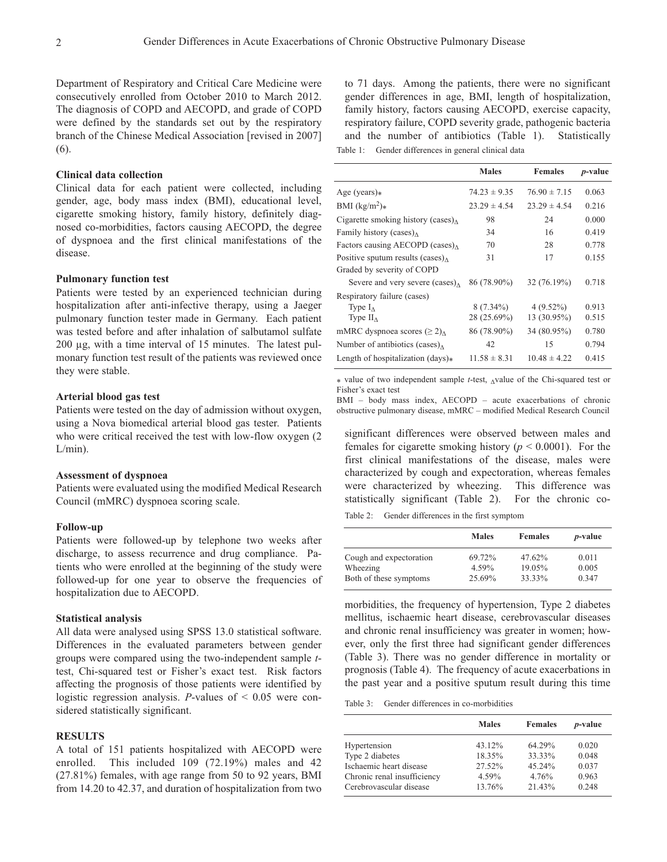Department of Respiratory and Critical Care Medicine were consecutively enrolled from October 2010 to March 2012. The diagnosis of COPD and AECOPD, and grade of COPD were defined by the standards set out by the respiratory branch of the Chinese Medical Association [revised in 2007] (6).

# **Clinical data collection**

Clinical data for each patient were collected, including gender, age, body mass index (BMI), educational level, cigarette smoking history, family history, definitely diagnosed co-morbidities, factors causing AECOPD, the degree of dyspnoea and the first clinical manifestations of the disease.

# **Pulmonary function test**

Patients were tested by an experienced technician during hospitalization after anti-infective therapy, using a Jaeger pulmonary function tester made in Germany. Each patient was tested before and after inhalation of salbutamol sulfate 200 µg, with a time interval of 15 minutes. The latest pulmonary function test result of the patients was reviewed once they were stable.

# **Arterial blood gas test**

Patients were tested on the day of admission without oxygen, using a Nova biomedical arterial blood gas tester. Patients who were critical received the test with low-flow oxygen (2  $L/min$ ).

#### **Assessment of dyspnoea**

Patients were evaluated using the modified Medical Research Council (mMRC) dyspnoea scoring scale.

## **Follow-up**

Patients were followed-up by telephone two weeks after discharge, to assess recurrence and drug compliance. Patients who were enrolled at the beginning of the study were followed-up for one year to observe the frequencies of hospitalization due to AECOPD.

## **Statistical analysis**

All data were analysed using SPSS 13.0 statistical software. Differences in the evaluated parameters between gender groups were compared using the two-independent sample *t*test, Chi-squared test or Fisher's exact test. Risk factors affecting the prognosis of those patients were identified by logistic regression analysis. *P*-values of < 0.05 were considered statistically significant.

# **RESULTS**

A total of 151 patients hospitalized with AECOPD were enrolled. This included 109 (72.19%) males and 42 (27.81%) females, with age range from 50 to 92 years, BMI from 14.20 to 42.37, and duration of hospitalization from two

to 71 days. Among the patients, there were no significant gender differences in age, BMI, length of hospitalization, family history, factors causing AECOPD, exercise capacity, respiratory failure, COPD severity grade, pathogenic bacteria and the number of antibiotics (Table 1). Statistically Table 1: Gender differences in general clinical data

|                                                | <b>Males</b>     | <b>Females</b>   | <i>p</i> -value |
|------------------------------------------------|------------------|------------------|-----------------|
| Age (years) $*$                                | $74.23 \pm 9.35$ | $76.90 \pm 7.15$ | 0.063           |
| BMI $(kg/m^2)*$                                | $23.29 \pm 4.54$ | $23.29 \pm 4.54$ | 0.216           |
| Cigarette smoking history (cases) $_{\Lambda}$ | 98               | 24               | 0.000           |
| Family history (cases) $_{\Lambda}$            | 34               | 16               | 0.419           |
| Factors causing AECOPD (cases) $_{\Lambda}$    | 70               | 28               | 0.778           |
| Positive sputum results (cases) $_{\Lambda}$   | 31               | 17               | 0.155           |
| Graded by severity of COPD                     |                  |                  |                 |
| Severe and very severe $(cases)_{\Lambda}$     | 86 (78.90%)      | 32 (76.19%)      | 0.718           |
| Respiratory failure (cases)                    |                  |                  |                 |
| Type $I_{\Lambda}$                             | $8(7.34\%)$      | $4(9.52\%)$      | 0.913           |
| Type $II_A$                                    | 28 (25.69%)      | 13 (30.95%)      | 0.515           |
| mMRC dyspnoea scores $(\geq 2)$                | 86 (78.90%)      | 34 (80.95%)      | 0.780           |
| Number of antibiotics (cases) $_{\Lambda}$     | 42               | 15               | 0.794           |
| Length of hospitalization $(days)*$            | $11.58 \pm 8.31$ | $10.48 \pm 4.22$ | 0.415           |

\* value of two independent sample *t*-test, ∆value of the Chi-squared test or Fisher's exact test

BMI – body mass index, AECOPD – acute exacerbations of chronic obstructive pulmonary disease, mMRC – modified Medical Research Council

significant differences were observed between males and females for cigarette smoking history ( $p < 0.0001$ ). For the first clinical manifestations of the disease, males were characterized by cough and expectoration, whereas females were characterized by wheezing. This difference was statistically significant (Table 2). For the chronic co-Table 2: Gender differences in the first symptom

|                                     | <b>Males</b>    | <b>Females</b>   | <i>p</i> -value |
|-------------------------------------|-----------------|------------------|-----------------|
| Cough and expectoration<br>Wheezing | 69.72%<br>4.59% | 47.62%<br>19.05% | 0.011<br>0.005  |
| Both of these symptoms              | 25.69%          | 33.33%           | 0.347           |

morbidities, the frequency of hypertension, Type 2 diabetes mellitus, ischaemic heart disease, cerebrovascular diseases and chronic renal insufficiency was greater in women; however, only the first three had significant gender differences (Table 3). There was no gender difference in mortality or prognosis (Table 4). The frequency of acute exacerbations in the past year and a positive sputum result during this time

Table 3: Gender differences in co-morbidities

|                             | <b>Males</b> | <b>Females</b> | <i>p</i> -value |
|-----------------------------|--------------|----------------|-----------------|
| Hypertension                | 43.12%       | 64.29%         | 0.020           |
| Type 2 diabetes             | 18.35%       | 33.33%         | 0.048           |
| Ischaemic heart disease     | 27.52%       | 45.24%         | 0.037           |
| Chronic renal insufficiency | 4.59%        | 4.76%          | 0.963           |
| Cerebrovascular disease     | 13.76%       | 21.43%         | 0.248           |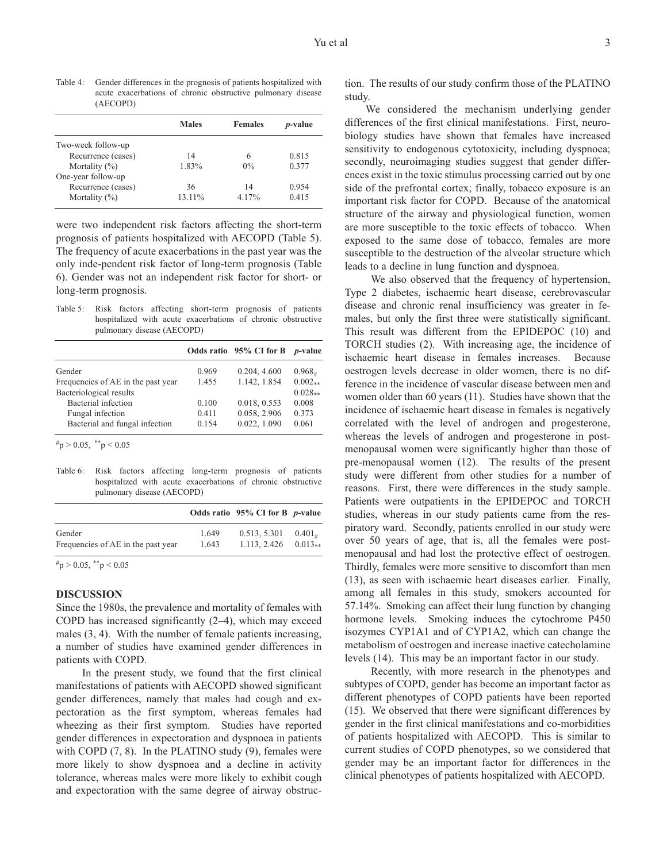Table 4: Gender differences in the prognosis of patients hospitalized with acute exacerbations of chronic obstructive pulmonary disease (AECOPD)

|                    | <b>Males</b> | <b>Females</b> | <i>p</i> -value |
|--------------------|--------------|----------------|-----------------|
| Two-week follow-up |              |                |                 |
| Recurrence (cases) | 14           | 6              | 0.815           |
| Mortality $(\% )$  | 1.83%        | $0\%$          | 0.377           |
| One-year follow-up |              |                |                 |
| Recurrence (cases) | 36           | 14             | 0.954           |
| Mortality $(\%)$   | 13.11%       | $4.17\%$       | 0.415           |

were two independent risk factors affecting the short-term prognosis of patients hospitalized with AECOPD (Table 5). The frequency of acute exacerbations in the past year was the only inde-pendent risk factor of long-term prognosis (Table 6). Gender was not an independent risk factor for short- or long-term prognosis.

Table 5: Risk factors affecting short-term prognosis of patients hospitalized with acute exacerbations of chronic obstructive pulmonary disease (AECOPD)

| 0.204, 4.600<br>0.969<br>1.142, 1.854<br>1.455 | $0.968_{+}$<br>$0.002**$ |
|------------------------------------------------|--------------------------|
|                                                |                          |
|                                                |                          |
|                                                | $0.028**$                |
| 0.018, 0.553<br>0.100                          | 0.008                    |
| 0.058, 2.906<br>0.411                          | 0.373                    |
| 0.022, 1.090<br>0.154                          | 0.061                    |
|                                                |                          |

 $~^{\#}p > 0.05,~^{\ast\ast}p < 0.05$ 

Table 6: Risk factors affecting long-term prognosis of patients hospitalized with acute exacerbations of chronic obstructive pulmonary disease (AECOPD)

| $0.401_{+}$    |                                                                                        |
|----------------|----------------------------------------------------------------------------------------|
| 1.649<br>1.643 | Odds ratio $95\%$ CI for B <i>p</i> -value<br>0.513, 5.301<br>$1.113, 2.426$ $0.013**$ |

 $~^{\#}p > 0.05,~^{\ast\ast}p < 0.05$ 

# **DISCUSSION**

Since the 1980s, the prevalence and mortality of females with COPD has increased significantly (2–4), which may exceed males (3, 4). With the number of female patients increasing, a number of studies have examined gender differences in patients with COPD.

In the present study, we found that the first clinical manifestations of patients with AECOPD showed significant gender differences, namely that males had cough and expectoration as the first symptom, whereas females had wheezing as their first symptom. Studies have reported gender differences in expectoration and dyspnoea in patients with COPD  $(7, 8)$ . In the PLATINO study  $(9)$ , females were more likely to show dyspnoea and a decline in activity tolerance, whereas males were more likely to exhibit cough and expectoration with the same degree of airway obstruction. The results of our study confirm those of the PLATINO study.

We considered the mechanism underlying gender differences of the first clinical manifestations. First, neurobiology studies have shown that females have increased sensitivity to endogenous cytotoxicity, including dyspnoea; secondly, neuroimaging studies suggest that gender differences exist in the toxic stimulus processing carried out by one side of the prefrontal cortex; finally, tobacco exposure is an important risk factor for COPD. Because of the anatomical structure of the airway and physiological function, women are more susceptible to the toxic effects of tobacco. When exposed to the same dose of tobacco, females are more susceptible to the destruction of the alveolar structure which leads to a decline in lung function and dyspnoea.

We also observed that the frequency of hypertension, Type 2 diabetes, ischaemic heart disease, cerebrovascular disease and chronic renal insufficiency was greater in females, but only the first three were statistically significant. This result was different from the EPIDEPOC (10) and TORCH studies (2). With increasing age, the incidence of ischaemic heart disease in females increases. Because oestrogen levels decrease in older women, there is no difference in the incidence of vascular disease between men and women older than 60 years (11). Studies have shown that the incidence of ischaemic heart disease in females is negatively correlated with the level of androgen and progesterone, whereas the levels of androgen and progesterone in postmenopausal women were significantly higher than those of pre-menopausal women (12). The results of the present study were different from other studies for a number of reasons. First, there were differences in the study sample. Patients were outpatients in the EPIDEPOC and TORCH studies, whereas in our study patients came from the respiratory ward. Secondly, patients enrolled in our study were over 50 years of age, that is, all the females were postmenopausal and had lost the protective effect of oestrogen. Thirdly, females were more sensitive to discomfort than men (13), as seen with ischaemic heart diseases earlier. Finally, among all females in this study, smokers accounted for 57.14%. Smoking can affect their lung function by changing hormone levels. Smoking induces the cytochrome P450 isozymes CYP1A1 and of CYP1A2, which can change the metabolism of oestrogen and increase inactive catecholamine levels (14). This may be an important factor in our study.

Recently, with more research in the phenotypes and subtypes of COPD, gender has become an important factor as different phenotypes of COPD patients have been reported (15). We observed that there were significant differences by gender in the first clinical manifestations and co-morbidities of patients hospitalized with AECOPD. This is similar to current studies of COPD phenotypes, so we considered that gender may be an important factor for differences in the clinical phenotypes of patients hospitalized with AECOPD.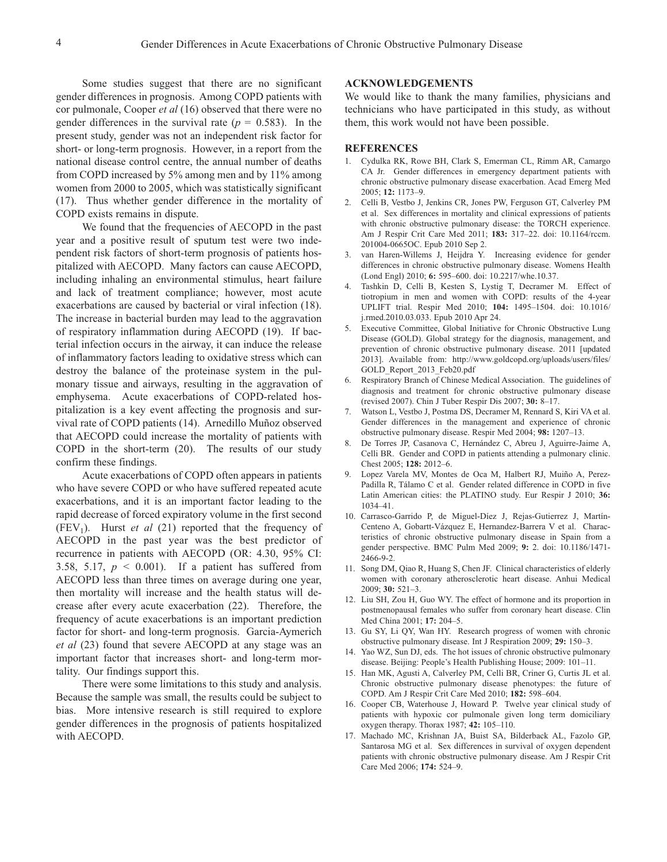Some studies suggest that there are no significant gender differences in prognosis. Among COPD patients with cor pulmonale, Cooper *et al* (16) observed that there were no gender differences in the survival rate (*p =* 0.583). In the present study, gender was not an independent risk factor for short- or long-term prognosis. However, in a report from the national disease control centre, the annual number of deaths from COPD increased by 5% among men and by 11% among women from 2000 to 2005, which was statistically significant (17). Thus whether gender difference in the mortality of COPD exists remains in dispute.

We found that the frequencies of AECOPD in the past year and a positive result of sputum test were two independent risk factors of short-term prognosis of patients hospitalized with AECOPD. Many factors can cause AECOPD, including inhaling an environmental stimulus, heart failure and lack of treatment compliance; however, most acute exacerbations are caused by bacterial or viral infection (18). The increase in bacterial burden may lead to the aggravation of respiratory inflammation during AECOPD (19). If bacterial infection occurs in the airway, it can induce the release of inflammatory factors leading to oxidative stress which can destroy the balance of the proteinase system in the pulmonary tissue and airways, resulting in the aggravation of emphysema. Acute exacerbations of COPD-related hospitalization is a key event affecting the prognosis and survival rate of COPD patients (14). Arnedillo Muñoz observed that AECOPD could increase the mortality of patients with COPD in the short-term (20). The results of our study confirm these findings.

Acute exacerbations of COPD often appears in patients who have severe COPD or who have suffered repeated acute exacerbations, and it is an important factor leading to the rapid decrease of forced expiratory volume in the first second  $(FEV<sub>1</sub>)$ . Hurst *et al* (21) reported that the frequency of AECOPD in the past year was the best predictor of recurrence in patients with AECOPD (OR: 4.30, 95% CI: 3.58, 5.17,  $p \le 0.001$ ). If a patient has suffered from AECOPD less than three times on average during one year, then mortality will increase and the health status will decrease after every acute exacerbation (22). Therefore, the frequency of acute exacerbations is an important prediction factor for short- and long-term prognosis. Garcia-Aymerich *et al* (23) found that severe AECOPD at any stage was an important factor that increases short- and long-term mortality. Our findings support this.

There were some limitations to this study and analysis. Because the sample was small, the results could be subject to bias. More intensive research is still required to explore gender differences in the prognosis of patients hospitalized with AECOPD.

## **ACKNOWLEDGEMENTS**

We would like to thank the many families, physicians and technicians who have participated in this study, as without them, this work would not have been possible.

## **REFERENCES**

- 1. Cydulka RK, Rowe BH, Clark S, Emerman CL, Rimm AR, Camargo CA Jr. Gender differences in emergency department patients with chronic obstructive pulmonary disease exacerbation. Acad Emerg Med 2005; **12:** 1173–9.
- 2. Celli B, Vestbo J, Jenkins CR, Jones PW, Ferguson GT, Calverley PM et al. Sex differences in mortality and clinical expressions of patients with chronic obstructive pulmonary disease: the TORCH experience. Am J Respir Crit Care Med 2011; **183:** 317–22. doi: 10.1164/rccm. 201004-0665OC. Epub 2010 Sep 2.
- 3. van Haren-Willems J, Heijdra Y. Increasing evidence for gender differences in chronic obstructive pulmonary disease. Womens Health (Lond Engl) 2010; **6:** 595–600. doi: 10.2217/whe.10.37.
- 4. Tashkin D, Celli B, Kesten S, Lystig T, Decramer M. Effect of tiotropium in men and women with COPD: results of the 4-year UPLIFT trial. Respir Med 2010; **104:** 1495–1504. doi: 10.1016/ j.rmed.2010.03.033. Epub 2010 Apr 24.
- 5. Executive Committee, Global Initiative for Chronic Obstructive Lung Disease (GOLD). Global strategy for the diagnosis, management, and prevention of chronic obstructive pulmonary disease. 2011 [updated 2013]. Available from: http://www.goldcopd.org/uploads/users/files/ GOLD Report 2013 Feb20.pdf
- 6. Respiratory Branch of Chinese Medical Association. The guidelines of diagnosis and treatment for chronic obstructive pulmonary disease (revised 2007). Chin J Tuber Respir Dis 2007; **30:** 8–17.
- 7. Watson L, Vestbo J, Postma DS, Decramer M, Rennard S, Kiri VA et al. Gender differences in the management and experience of chronic obstructive pulmonary disease. Respir Med 2004; **98:** 1207–13.
- 8. De Torres JP, Casanova C, Hernández C, Abreu J, Aguirre-Jaime A, Celli BR. Gender and COPD in patients attending a pulmonary clinic. Chest 2005; **128:** 2012–6.
- 9. Lopez Varela MV, Montes de Oca M, Halbert RJ, Muiño A, Perez-Padilla R, Tálamo C et al. Gender related difference in COPD in five Latin American cities: the PLATINO study. Eur Respir J 2010; **36:** 1034–41.
- 10. Carrasco-Garrido P, de Miguel-Díez J, Rejas-Gutierrez J, Martín-Centeno A, Gobartt-Vázquez E, Hernandez-Barrera V et al. Characteristics of chronic obstructive pulmonary disease in Spain from a gender perspective. BMC Pulm Med 2009; **9:** 2. doi: 10.1186/1471- 2466-9-2.
- 11. Song DM, Qiao R, Huang S, Chen JF. Clinical characteristics of elderly women with coronary atherosclerotic heart disease. Anhui Medical 2009; **30:** 521–3.
- 12. Liu SH, Zou H, Guo WY. The effect of hormone and its proportion in postmenopausal females who suffer from coronary heart disease. Clin Med China 2001; **17:** 204–5.
- 13. Gu SY, Li QY, Wan HY. Research progress of women with chronic obstructive pulmonary disease. Int J Respiration 2009; **29:** 150–3.
- 14. Yao WZ, Sun DJ, eds. The hot issues of chronic obstructive pulmonary disease. Beijing: People's Health Publishing House; 2009: 101–11.
- 15. Han MK, Agusti A, Calverley PM, Celli BR, Criner G, Curtis JL et al. Chronic obstructive pulmonary disease phenotypes: the future of COPD. Am J Respir Crit Care Med 2010; **182:** 598–604.
- 16. Cooper CB, Waterhouse J, Howard P. Twelve year clinical study of patients with hypoxic cor pulmonale given long term domiciliary oxygen therapy. Thorax 1987; **42:** 105–110.
- 17. Machado MC, Krishnan JA, Buist SA, Bilderback AL, Fazolo GP, Santarosa MG et al. Sex differences in survival of oxygen dependent patients with chronic obstructive pulmonary disease. Am J Respir Crit Care Med 2006; **174:** 524–9.